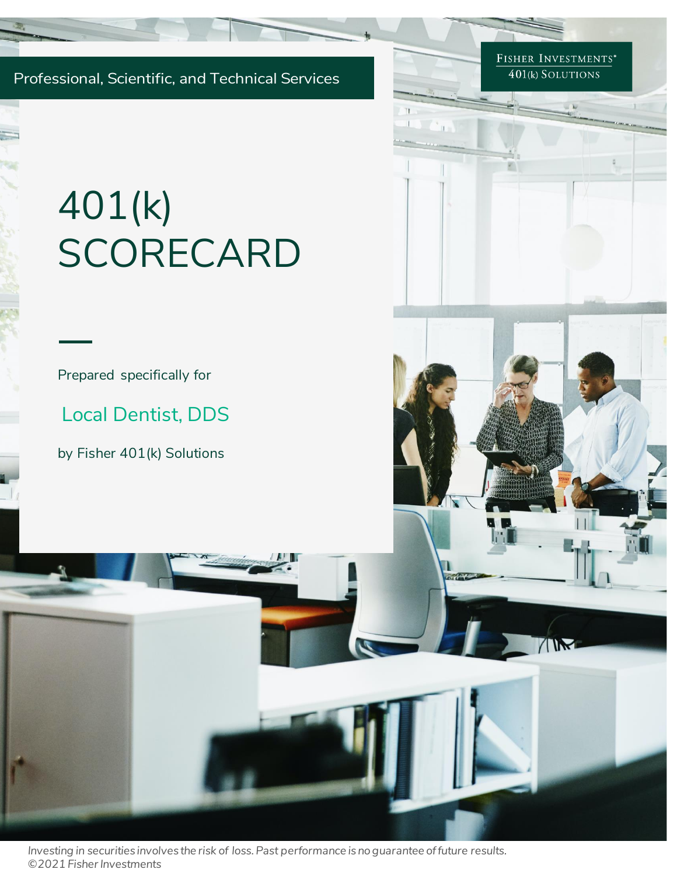Professional, Scientific, and Technical Services

FISHER INVESTMENTS<sup>\*</sup>  $401(k)$  SOLUTIONS

TIM

# 401(k) **SCORECARD**

Prepared specifically for

Local Dentist, DDS

by Fisher 401(k) Solutions

*Investing in securities involves the risk of loss. Past performance is no guarantee of future results. ©2021 Fisher Investments*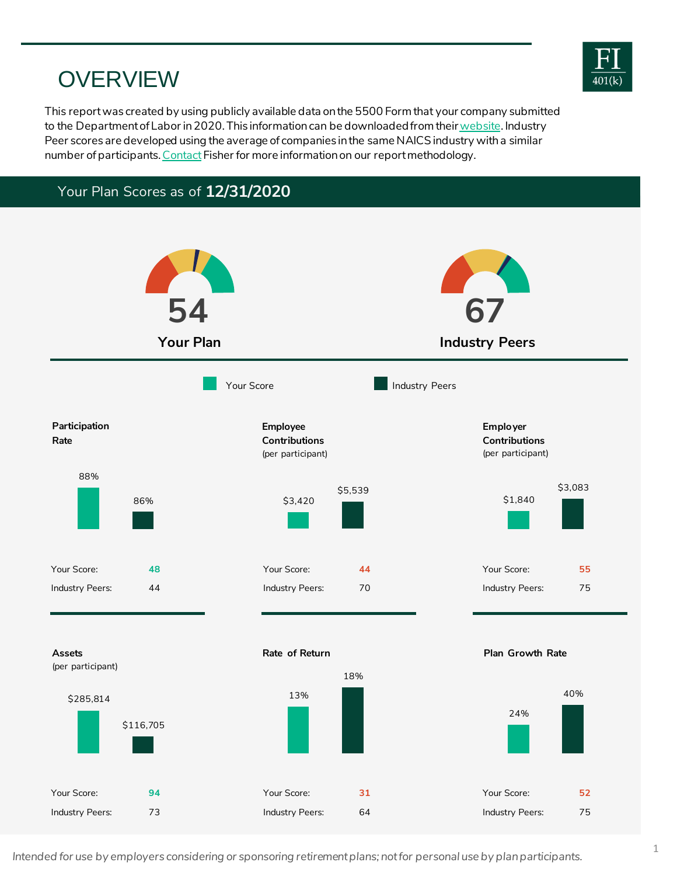## **OVERVIEW**

This report was created by using publicly available data on the 5500 Form that your company submitted to the Department of Labor in 2020. This information can be downloaded from their website. Industry Peer scores are developed using the average of companies in the same NAICS industry with a similar number of participants. [Contact](https://www.fisher401k.com/about-us/contact) Fisher for more information on our report methodology.

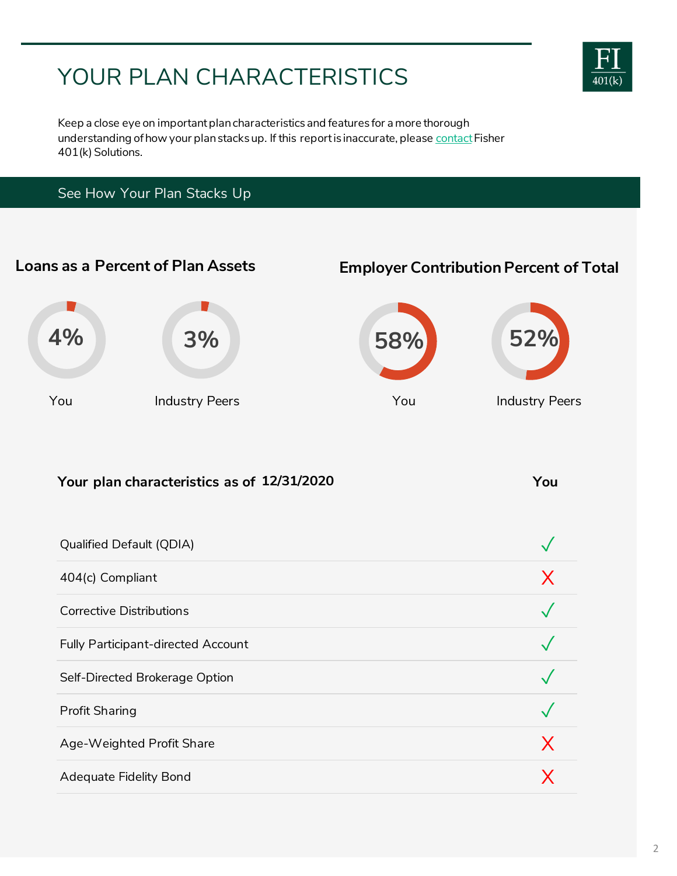# YOUR PLAN CHARACTERISTICS



Keep a close eye on important plan characteristics and features for a more thorough understanding of how your plan stacks up. If this report is inaccurate, please [contact](https://www.fisher401k.com/about-us/contact) Fisher 401(k) Solutions.

## See How Your Plan Stacks Up

# **Your plan characteristics as of You 12/31/2020** Qualified Default (QDIA)  $\sqrt{\phantom{a}}$  $404$ (c) Compliant  $X$ Corrective Distributions **◯** Fully Participant-directed Account Self-Directed Brokerage Option Profit Sharing  $\sqrt{2\pi}$ Age-Weighted Profit Share  $\chi$ Adequate Fidelity Bond X and X and X and X and X and X and X and X and X and X and X and X and X and X and X and X and X and X and X and X and X and X and X and X and X and X and X and X and X and X and X and X and X and X **Loans as a Percent of Plan Assets Employer Contribution Percent of Total** You Industry Peers You Industry Peers **4% 3% 58% 52%**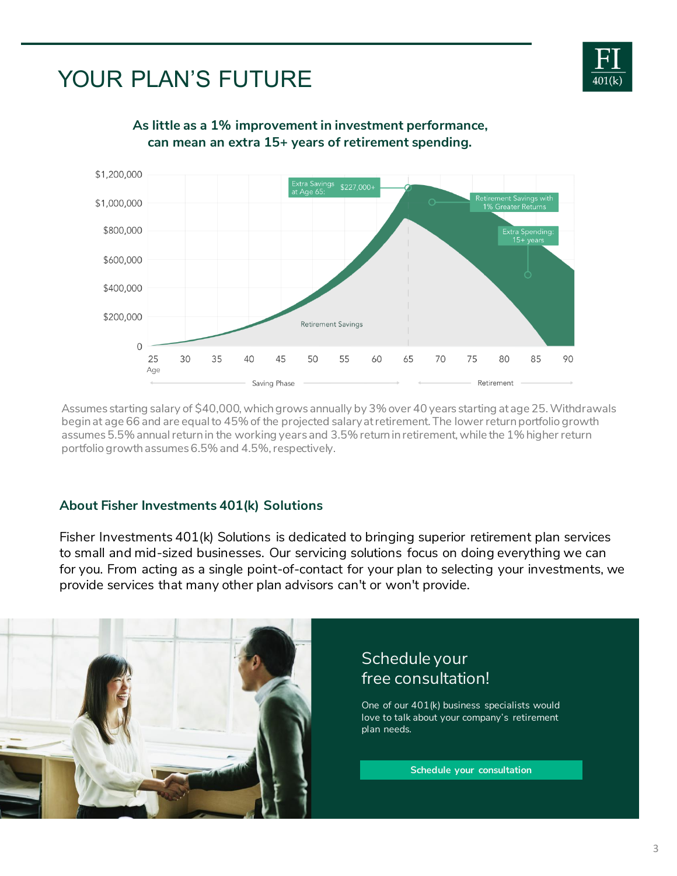

# YOUR PLAN'S FUTURE



**As little as a 1% improvement in investment performance, can mean an extra 15+ years of retirement spending.**

Assumes starting salary of \$40,000, which grows annually by 3% over 40 years starting at age 25. Withdrawals begin at age 66 and are equal to 45% of the projected salary at retirement. The lower return portfolio growth assumes 5.5% annual return in the working years and 3.5% return in retirement, while the 1% higher return portfolio growth assumes 6.5% and 4.5%, respectively.

## **About Fisher Investments 401(k) Solutions**

I isher investments 401 (K) Solutions is dedicated to biniging superior retirement plan services<br>to small and mid-sized businesses. Our servicing solutions focus on doing everything we can Fisher Investments 401(k) Solutions is dedicated to bringing superior retirement plan services for you. From acting as a single point-of-contact for your plan to selecting your investments, we provide services that many other plan advisors can't or won't provide.

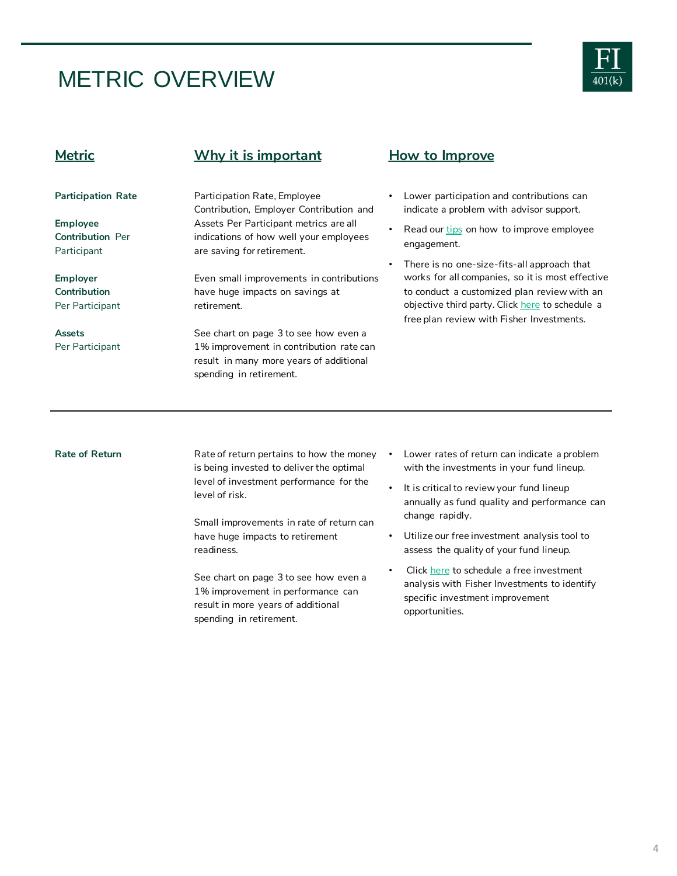## METRIC OVERVIEW



**Employee Contribution** Per Participant

**Employer Contribution**  Per Participant

**Assets** 

Per Participant

**Participation Rate**

## **Metric Why it is important How to Improve**

Participation Rate, Employee Contribution, Employer Contribution and Assets Per Participant metrics are all indications of how well your employees are saving for retirement.

Even small improvements in contributions have huge impacts on savings at retirement.

See chart on page 3 to see how even a 1% improvement in contribution rate can result in many more years of additional spending in retirement.

- Lower participation and contributions can indicate a problem with advisor support.
- Read our [tips](http://www.fisher401k.com/resource-library/best/retire-6-K02174M1) on how to improve employee engagement.
- There is no one-size-fits-all approach that works for all companies, so it is most effective to conduct a customized plan review with an objective third party. Click [here](https://www.fisher401k.com/about-us/contact) to schedule a free plan review with Fisher Investments.

Rate of Return **Rate of return pertains to how the money** is being invested to deliver the optimal level of investment performance for the level of risk.

> Small improvements in rate of return can have huge impacts to retirement readiness.

See chart on page 3 to see how even a 1% improvement in performance can result in more years of additional spending in retirement.

- Lower rates of return can indicate a problem with the investments in your fund lineup.
- It is critical to review your fund lineup annually as fund quality and performance can change rapidly.
- Utilize our free investment analysis tool to assess the quality of your fund lineup.
- Click [here](https://www.fisher401k.com/about-us/contact) to schedule a free investment analysis with Fisher Investments to identify specific investment improvement opportunities.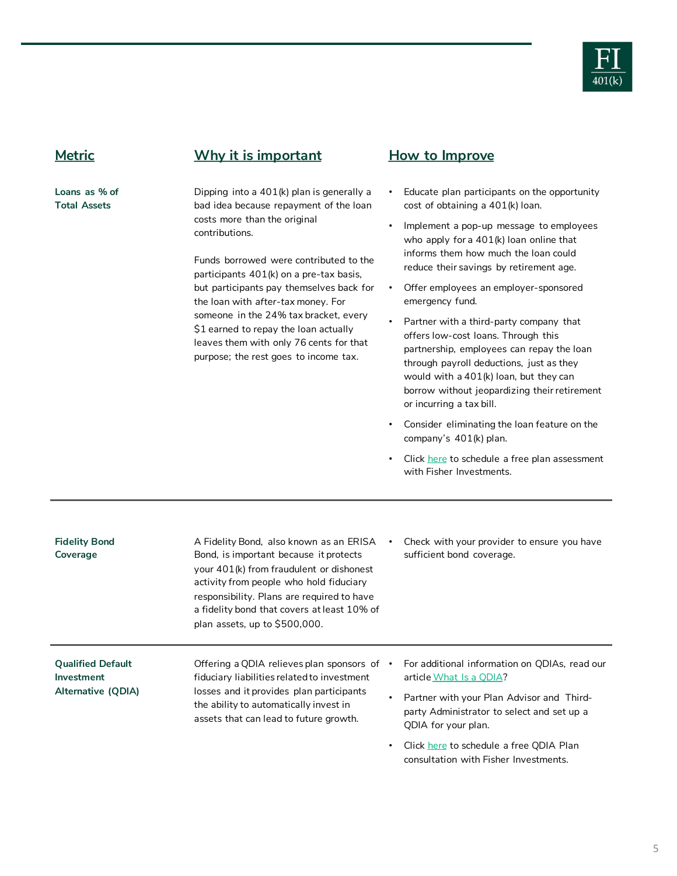

## **Metric Why it is important How to Improve**

**Loans as % of Total Assets**

Dipping into a 401(k) plan is generally a bad idea because repayment of the loan costs more than the original contributions.

Funds borrowed were contributed to the participants 401(k) on a pre-tax basis, but participants pay themselves back for the loan with *after-tax* money. For someone in the 24% tax bracket, every \$1 earned to repay the loan actually leaves them with only 76 cents for that purpose; the rest goes to income tax.

- Educate plan participants on the opportunity cost of obtaining a 401(k) loan.
- Implement a pop-up message to employees who apply for a 401(k) loan online that informs them how much the loan could reduce their savings by retirement age.
- Offer employees an employer-sponsored emergency fund.
- Partner with a third-party company that offers low-cost loans. Through this partnership, employees can repay the loan through payroll deductions, just as they would with a 401(k) loan, but they can borrow without jeopardizing their retirement or incurring a tax bill.
- Consider eliminating the loan feature on the company's 401(k) plan.
- Click [here](https://www.fisher401k.com/about-us/contact) to schedule a free plan assessment with Fisher Investments.

| <b>Fidelity Bond</b><br>Coverage                             | A Fidelity Bond, also known as an ERISA<br>Bond, is important because it protects<br>your 401(k) from fraudulent or dishonest<br>activity from people who hold fiduciary<br>responsibility. Plans are required to have<br>a fidelity bond that covers at least 10% of<br>plan assets, up to \$500,000. | $\bullet$ | Check with your provider to ensure you have<br>sufficient bond coverage.                                                                                                                                                                                                       |
|--------------------------------------------------------------|--------------------------------------------------------------------------------------------------------------------------------------------------------------------------------------------------------------------------------------------------------------------------------------------------------|-----------|--------------------------------------------------------------------------------------------------------------------------------------------------------------------------------------------------------------------------------------------------------------------------------|
| <b>Qualified Default</b><br>Investment<br>Alternative (QDIA) | Offering a QDIA relieves plan sponsors of $\cdot$<br>fiduciary liabilities related to investment<br>losses and it provides plan participants<br>the ability to automatically invest in<br>assets that can lead to future growth.                                                                       | $\bullet$ | For additional information on QDIAs, read our<br>article What Is a ODIA?<br>Partner with your Plan Advisor and Third-<br>party Administrator to select and set up a<br>QDIA for your plan.<br>Click here to schedule a free QDIA Plan<br>consultation with Fisher Investments. |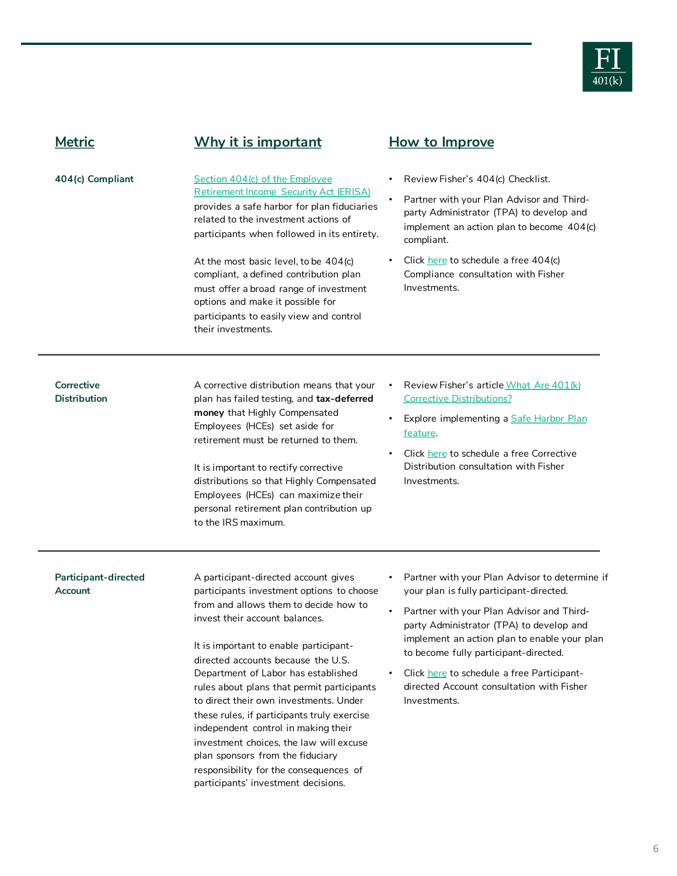

| <b>Metric</b>                            | Why it is important                                                                                                                                                                                                                                                                                                                                                                                                                                                                                                                                                                                                               | How to Improve                                                                                                                                                                                                                                                                                                                                                                          |
|------------------------------------------|-----------------------------------------------------------------------------------------------------------------------------------------------------------------------------------------------------------------------------------------------------------------------------------------------------------------------------------------------------------------------------------------------------------------------------------------------------------------------------------------------------------------------------------------------------------------------------------------------------------------------------------|-----------------------------------------------------------------------------------------------------------------------------------------------------------------------------------------------------------------------------------------------------------------------------------------------------------------------------------------------------------------------------------------|
| 404(c) Compliant                         | Section 404(c) of the Employee<br><b>Retirement Income Security Act (ERISA)</b><br>provides a safe harbor for plan fiduciaries<br>related to the investment actions of<br>participants when followed in its entirety.                                                                                                                                                                                                                                                                                                                                                                                                             | Review Fisher's 404(c) Checklist.<br>Partner with your Plan Advisor and Third-<br>party Administrator (TPA) to develop and<br>implement an action plan to become 404(c)<br>compliant.                                                                                                                                                                                                   |
|                                          | At the most basic level, to be 404(c)<br>compliant, a defined contribution plan<br>must offer a broad range of investment<br>options and make it possible for<br>participants to easily view and control<br>their investments.                                                                                                                                                                                                                                                                                                                                                                                                    | Click here to schedule a free 404(c)<br>Compliance consultation with Fisher<br>Investments.                                                                                                                                                                                                                                                                                             |
| <b>Corrective</b><br><b>Distribution</b> | A corrective distribution means that your<br>plan has failed testing, and tax-deferred<br>money that Highly Compensated<br>Employees (HCEs) set aside for<br>retirement must be returned to them.<br>It is important to rectify corrective<br>distributions so that Highly Compensated<br>Employees (HCEs) can maximize their<br>personal retirement plan contribution up<br>to the IRS maximum.                                                                                                                                                                                                                                  | Review Fisher's article What Are 401(k)<br><b>Corrective Distributions?</b><br>Explore implementing a Safe Harbor Plan<br>feature.<br>Click here to schedule a free Corrective<br>Distribution consultation with Fisher<br>Investments.                                                                                                                                                 |
| Participant-directed<br>Account          | A participant-directed account gives<br>participants investment options to choose<br>from and allows them to decide how to<br>invest their account balances.<br>It is important to enable participant-<br>directed accounts because the U.S.<br>Department of Labor has established<br>rules about plans that permit participants<br>to direct their own investments. Under<br>these rules, if participants truly exercise<br>independent control in making their<br>investment choices, the law will excuse<br>plan sponsors from the fiduciary<br>responsibility for the consequences of<br>participants' investment decisions. | Partner with your Plan Advisor to determine if<br>your plan is fully participant-directed.<br>Partner with your Plan Advisor and Third-<br>party Administrator (TPA) to develop and<br>implement an action plan to enable your plan<br>to become fully participant-directed.<br>Click here to schedule a free Participant-<br>directed Account consultation with Fisher<br>Investments. |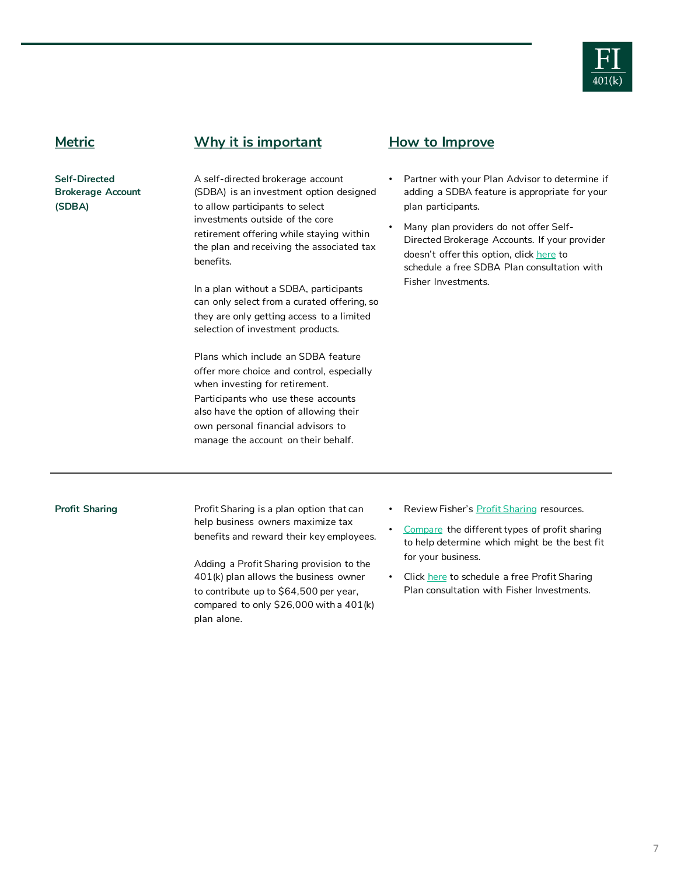

**Self-Directed Brokerage Account (SDBA)**

**Metric Why it is important How to Improve**

A self-directed brokerage account (SDBA) is an investment option designed to allow participants to select investments outside of the core retirement offering while staying within the plan and receiving the associated tax benefits.

In a plan without a SDBA, participants can only select from a curated offering, so they are only getting access to a limited selection of investment products.

Plans which include an SDBA feature offer more choice and control, especially when investing for retirement. Participants who use these accounts also have the option of allowing their own personal financial advisors to manage the account on their behalf.

- Partner with your Plan Advisor to determine if adding a SDBA feature is appropriate for your plan participants.
- Many plan providers do not offer Self-Directed Brokerage Accounts. If your provider doesn't offer this option, click [here](https://www.fisher401k.com/about-us/contact) to schedule a free SDBA Plan consultation with Fisher Investments.

**Profit Sharing Transfer Sharing is a plan option that can** help business owners maximize tax benefits and reward their key employees.

> Adding a Profit Sharing provision to the 401(k) plan allows the business owner to contribute up to \$64,500 per year, compared to only \$26,000 with a 401(k) plan alone.

- Review Fisher's **[Profit Sharing](https://www.fisher401k.com/plan-options/profit-sharing-plan) resources.**
- [Compare](https://www.fisher401k.com/sites/default/files/media_library/pdf/ProfitSharing_Infographic_V3.1.pdf) the different types of profit sharing to help determine which might be the best fit for your business.
- Click [here](https://www.fisher401k.com/about-us/contact) to schedule a free Profit Sharing Plan consultation with Fisher Investments.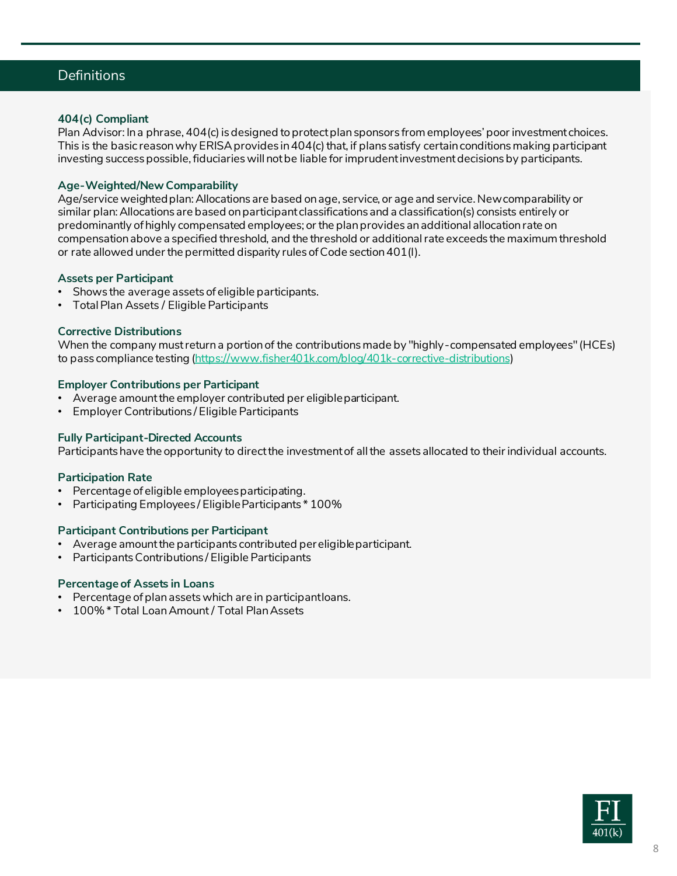## Definitions

### **404(c) Compliant**

Plan Advisor: In a phrase, 404(c) is designed to protect plan sponsors from employees' poor investment choices. This is the basic reason why ERISA provides in 404(c) that, if plans satisfy certain conditions making participant investing success possible, fiduciaries will not be liable for imprudent investment decisions by participants.

### **Age-Weighted/New Comparability**

Age/service weighted plan: Allocations are based on age, service, or age and service. New comparability or similar plan: Allocations are based on participant classifications and a classification(s) consists entirely or predominantly of highly compensated employees; or the plan provides an additional allocation rate on compensation above a specified threshold, and the threshold or additional rate exceeds the maximum threshold or rate allowed under the permitted disparity rules of Code section 401(l).

#### **Assets per Participant**

- Shows the average assets of eligible participants.
- Total Plan Assets / Eligible Participants

#### **Corrective Distributions**

When the company must return a portion of the contributions made by "highly-compensated employees" (HCEs) to pass compliance testing [\(https://www.fisher401k.com/blog/401k-corrective-distributions\)](https://www.fisher401k.com/blog/401k-corrective-distributions)

#### **Employer Contributions per Participant**

- Average amount the employer contributed per eligible participant.
- Employer Contributions / Eligible Participants

#### **Fully Participant-Directed Accounts**

Participants have the opportunity to direct the investment of all the assets allocated to their individual accounts.

#### **Participation Rate**

- Percentage of eligible employees participating.
- Participating Employees / Eligible Participants \* 100%

#### **Participant Contributions per Participant**

- Average amount the participants contributed per eligible participant.
- Participants Contributions / Eligible Participants

#### **Percentage of Assets in Loans**

- Percentage of plan assets which are in participant loans.
- 100% \* Total Loan Amount / Total Plan Assets